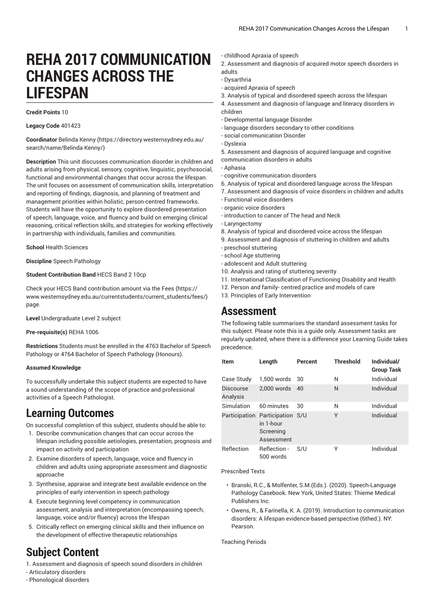# **REHA 2017 COMMUNICATION CHANGES ACROSS THE LIFESPAN**

#### **Credit Points** 10

**Legacy Code** 401423

**Coordinator** [Belinda](https://directory.westernsydney.edu.au/search/name/Belinda Kenny/) Kenny [\(https://directory.westernsydney.edu.au/](https://directory.westernsydney.edu.au/search/name/Belinda Kenny/) [search/name/Belinda](https://directory.westernsydney.edu.au/search/name/Belinda Kenny/) Kenny/)

**Description** This unit discusses communication disorder in children and adults arising from physical, sensory, cognitive, linguistic, psychosocial, functional and environmental changes that occur across the lifespan. The unit focuses on assessment of communication skills, interpretation and reporting of findings, diagnosis, and planning of treatment and management priorities within holistic, person-centred frameworks. Students will have the opportunity to explore disordered presentation of speech, language, voice, and fluency and build on emerging clinical reasoning, critical reflection skills, and strategies for working effectively in partnership with individuals, families and communities.

**School** Health Sciences

**Discipline** Speech Pathology

#### **Student Contribution Band** HECS Band 2 10cp

Check your HECS Band contribution amount via the [Fees \(https://](https://www.westernsydney.edu.au/currentstudents/current_students/fees/) [www.westernsydney.edu.au/currentstudents/current\\_students/fees/\)](https://www.westernsydney.edu.au/currentstudents/current_students/fees/) page.

**Level** Undergraduate Level 2 subject

#### **Pre-requisite(s)** [REHA](/search/?P=REHA%201006) 1006

**Restrictions** Students must be enrolled in the 4763 Bachelor of Speech Pathology or 4764 Bachelor of Speech Pathology (Honours).

### **Assumed Knowledge**

To successfully undertake this subject students are expected to have a sound understanding of the scope of practice and professional activities of a Speech Pathologist.

### **Learning Outcomes**

On successful completion of this subject, students should be able to:

- 1. Describe communication changes that can occur across the lifespan including possible aetiologies, presentation, prognosis and impact on activity and participation
- 2. Examine disorders of speech, language, voice and fluency in children and adults using appropriate assessment and diagnostic approache
- 3. Synthesise, appraise and integrate best available evidence on the principles of early intervention in speech pathology
- 4. Execute beginning level competency in communication assessment, analysis and interpretation (encompassing speech, language, voice and/or fluency) across the lifespan
- 5. Critically reflect on emerging clinical skills and their influence on the development of effective therapeutic relationships

# **Subject Content**

1. Assessment and diagnosis of speech sound disorders in children

- Articulatory disorders
- Phonological disorders
- childhood Apraxia of speech
- 2. Assessment and diagnosis of acquired motor speech disorders in adults
- Dysarthria
- acquired Apraxia of speech
- 3. Analysis of typical and disordered speech across the lifespan
- 4. Assessment and diagnosis of language and literacy disorders in children
- Developmental language Disorder
- language disorders secondary to other conditions
- social communication Disorder
- Dyslexia
- 5. Assessment and diagnosis of acquired language and cognitive communication disorders in adults
- Aphasia
- cognitive communication disorders
- 6. Analysis of typical and disordered language across the lifespan
- 7. Assessment and diagnosis of voice disorders in children and adults
- Functional voice disorders
- organic voice disorders
- introduction to cancer of The head and Neck
- Laryngectomy
- 8. Analysis of typical and disordered voice across the lifespan
- 9. Assessment and diagnosis of stuttering in children and adults
- preschool stuttering
- school Age stuttering
- adolescent and Adult stuttering
- 10. Analysis and rating of stuttering severity
- 11. International Classification of Functioning Disability and Health
- 12. Person and family- centred practice and models of care
- 13. Principles of Early Intervention

### **Assessment**

The following table summarises the standard assessment tasks for this subject. Please note this is a guide only. Assessment tasks are regularly updated, where there is a difference your Learning Guide takes precedence.

| <b>Item</b>                  | Length                                                    | Percent | <b>Threshold</b> | Individual/<br><b>Group Task</b> |
|------------------------------|-----------------------------------------------------------|---------|------------------|----------------------------------|
| Case Study                   | 1.500 words                                               | 30      | N                | Individual                       |
| <b>Discourse</b><br>Analysis | 2,000 words                                               | 40      | N                | Individual                       |
| Simulation                   | 60 minutes                                                | 30      | N                | Individual                       |
| Participation                | Participation S/U<br>in 1-hour<br>Screening<br>Assessment |         | Υ                | Individual                       |
| Reflection                   | Reflection -<br>500 words                                 | S/U     | Υ                | Individual                       |

Prescribed Texts

- Branski, R.C., & Molfenter, S.M.(Eds.). (2020). Speech-Language Pathology Casebook. New York, United States: Thieme Medical Publishers Inc.
- Owens, R., & Farinella, K. A. (2019). Introduction to communication disorders: A lifespan evidence-based perspective (6thed.). NY: Pearson.

Teaching Periods